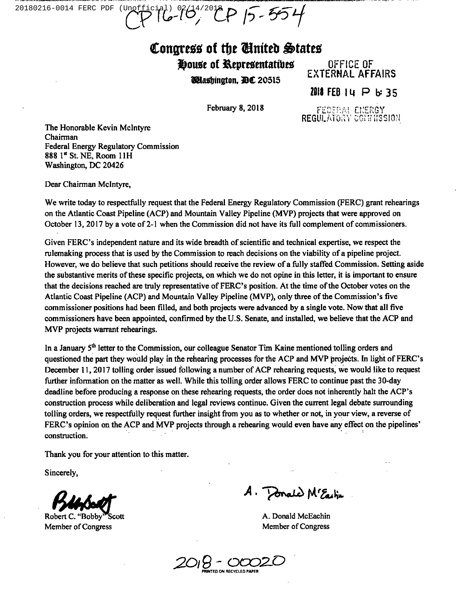20180216-0014 FERC PDF (Unofficial) 02/14/2018 P 15-554

## Congress of the Ginited States

House of Representatives OFFICE OF

**UHashington,** *PC* 20515

EXTERHAL AFFAIRS 2018 FEB  $14$  P b: 35

February 8, 2018

FEDERAL CNERGY REGULATORY CONTRISSION

The Honorable Kevin Mclntyre Chairman Federal Energy Regulatory Commission 888  $1<sup>st</sup>$  St. NE, Room 11H Washington, DC 20426

Dear Chairman Mclntyre,

We write today to respectfully request that the Federal Energy Regulatory Commission (FERC) grant rehearings on the Atlantic Coast Pipeline (ACP) and Mountain Valley Pipeline (MVP) projects that were approved on October 13, 2017 by a vote of 2-1 when the Commission did not have its full complement of commissioners.

Given FERC's independent nature and its wide breadth of scientific and technical expertise, we respect the rulemaking process that is used by the Commission to mach decisions on the viability of a pipeline project. However, we do believe that such petitions should receive the review of a fully staffed Commission. Setting aside the substantive merits of these specific projects, on which we do not opine in this letter, it is important to ensure that the decisions reached are truly representative of FERC's position. At the time of the October votes on the Atlantic Coast Pipeline (ACP) and Mountain Valley Pipeline (MVP), only three ofthe Commission's five commissioner positions had been filled, and both projects were advanced by a single vote. Now that all five commissioners have been appointed, confirmed by the U.S. Senate, and installed, we believe that the ACP and MVP projects warrant rehearings.

In a January 5<sup>th</sup> letter to the Commission, our colleague Senator Tim Kaine mentioned tolling orders and questioned the part they would play in the rehearing processes for the ACP and MVP projects. In light of FERC's December 11,2017 tolling order issued following a number of ACP rehearing requests, we would like to request further information on the matter as well. While this tolling order allows FERC to continue past the 30-day deadline before producing a response on these rehearing requests, the order does not inherently halt the ACP's construction process while deliberation and legal reviews continue. Given the current legal debate surrounding tolling orders, we respectfully request further insight from you as to whether or not, in your view, a reverse of FERC's opinion on the ACP and MVP projects through a rehearing would even have any effect on the pipelines' construction.

Thank you for your attention to this matter.

Sincerely,

Robert C. "Bobby Member of Congress

 $A.$  Ponald M'Earlin

A. Donald McEachin Member of Congress

2018 - OO **ED ON RECYCLED PAPEL**